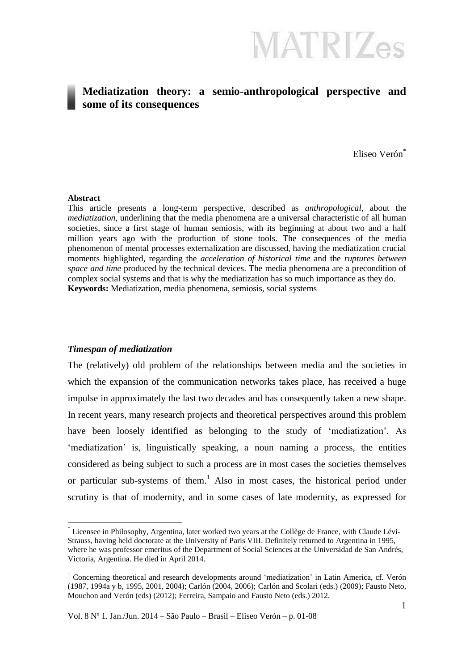### **Mediatization theory: a semio-anthropological perspective and some of its consequences**

Eliseo Verón\*

#### **Abstract**

<u>.</u>

This article presents a long-term perspective, described as *anthropological*, about the *mediatization*, underlining that the media phenomena are a universal characteristic of all human societies, since a first stage of human semiosis, with its beginning at about two and a half million years ago with the production of stone tools. The consequences of the media phenomenon of mental processes externalization are discussed, having the mediatization crucial moments highlighted, regarding the *acceleration of historical time* and the *ruptures between space and time* produced by the technical devices. The media phenomena are a precondition of complex social systems and that is why the mediatization has so much importance as they do. **Keywords:** Mediatization, media phenomena, semiosis, social systems

#### *Timespan of mediatization*

The (relatively) old problem of the relationships between media and the societies in which the expansion of the communication networks takes place, has received a huge impulse in approximately the last two decades and has consequently taken a new shape. In recent years, many research projects and theoretical perspectives around this problem have been loosely identified as belonging to the study of 'mediatization'. As 'mediatization' is, linguistically speaking, a noun naming a process, the entities considered as being subject to such a process are in most cases the societies themselves or particular sub-systems of them. <sup>1</sup> Also in most cases, the historical period under scrutiny is that of modernity, and in some cases of late modernity, as expressed for

Vol. 8 Nº 1. Jan./Jun. 2014 – São Paulo – Brasil – Eliseo Verón – p. 01-08

<sup>\*</sup> Licensee in Philosophy, Argentina, later worked two years at the Collège de France, with Claude Lévi-Strauss, having held doctorate at the University of Paris VIII. Definitely returned to Argentina in 1995, where he was professor emeritus of the Department of Social Sciences at the Universidad de San Andrés, Victoria, Argentina. He died in April 2014.

<sup>&</sup>lt;sup>1</sup> Concerning theoretical and research developments around 'mediatization' in Latin America, cf. Verón (1987, 1994a y b, 1995, 2001, 2004); Carlón (2004, 2006); Carlón and Scolari (eds.) (2009); Fausto Neto, Mouchon and Verón (eds) (2012); Ferreira, Sampaio and Fausto Neto (eds.) 2012.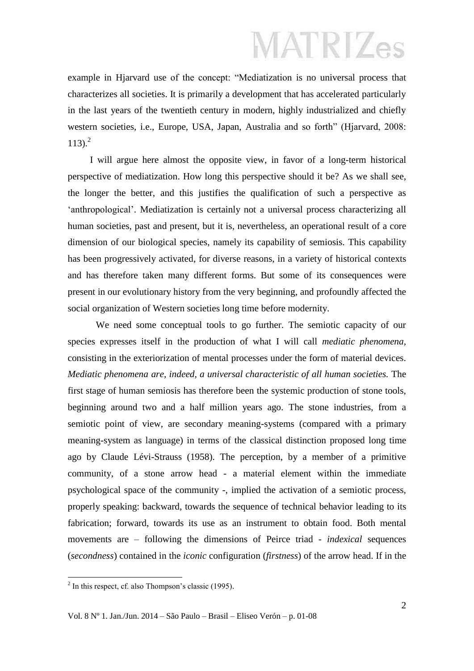example in Hjarvard use of the concept: "Mediatization is no universal process that characterizes all societies. It is primarily a development that has accelerated particularly in the last years of the twentieth century in modern, highly industrialized and chiefly western societies, i.e., Europe, USA, Japan, Australia and so forth" (Hjarvard, 2008: 113). 2

I will argue here almost the opposite view, in favor of a long-term historical perspective of mediatization. How long this perspective should it be? As we shall see, the longer the better, and this justifies the qualification of such a perspective as 'anthropological'. Mediatization is certainly not a universal process characterizing all human societies, past and present, but it is, nevertheless, an operational result of a core dimension of our biological species, namely its capability of semiosis. This capability has been progressively activated, for diverse reasons, in a variety of historical contexts and has therefore taken many different forms. But some of its consequences were present in our evolutionary history from the very beginning, and profoundly affected the social organization of Western societies long time before modernity.

We need some conceptual tools to go further. The semiotic capacity of our species expresses itself in the production of what I will call *mediatic phenomena*, consisting in the exteriorization of mental processes under the form of material devices. *Mediatic phenomena are, indeed, a universal characteristic of all human societies.* The first stage of human semiosis has therefore been the systemic production of stone tools, beginning around two and a half million years ago. The stone industries, from a semiotic point of view, are secondary meaning-systems (compared with a primary meaning-system as language) in terms of the classical distinction proposed long time ago by Claude Lévi-Strauss (1958). The perception, by a member of a primitive community, of a stone arrow head - a material element within the immediate psychological space of the community -, implied the activation of a semiotic process, properly speaking: backward, towards the sequence of technical behavior leading to its fabrication; forward, towards its use as an instrument to obtain food. Both mental movements are – following the dimensions of Peirce triad - *indexical* sequences (*secondness*) contained in the *iconic* configuration (*firstness*) of the arrow head. If in the

<u>.</u>

 $2$  In this respect, cf. also Thompson's classic (1995).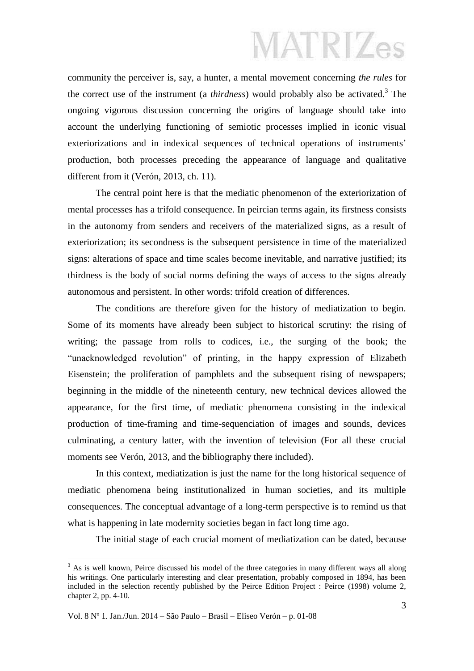community the perceiver is, say, a hunter, a mental movement concerning *the rules* for the correct use of the instrument (a *thirdness*) would probably also be activated. 3 The ongoing vigorous discussion concerning the origins of language should take into account the underlying functioning of semiotic processes implied in iconic visual exteriorizations and in indexical sequences of technical operations of instruments' production, both processes preceding the appearance of language and qualitative different from it (Verón, 2013, ch. 11).

The central point here is that the mediatic phenomenon of the exteriorization of mental processes has a trifold consequence. In peircian terms again, its firstness consists in the autonomy from senders and receivers of the materialized signs, as a result of exteriorization; its secondness is the subsequent persistence in time of the materialized signs: alterations of space and time scales become inevitable, and narrative justified; its thirdness is the body of social norms defining the ways of access to the signs already autonomous and persistent. In other words: trifold creation of differences.

The conditions are therefore given for the history of mediatization to begin. Some of its moments have already been subject to historical scrutiny: the rising of writing; the passage from rolls to codices, i.e., the surging of the book; the "unacknowledged revolution" of printing, in the happy expression of Elizabeth Eisenstein; the proliferation of pamphlets and the subsequent rising of newspapers; beginning in the middle of the nineteenth century, new technical devices allowed the appearance, for the first time, of mediatic phenomena consisting in the indexical production of time-framing and time-sequenciation of images and sounds, devices culminating, a century latter, with the invention of television (For all these crucial moments see Verón, 2013, and the bibliography there included).

In this context, mediatization is just the name for the long historical sequence of mediatic phenomena being institutionalized in human societies, and its multiple consequences. The conceptual advantage of a long-term perspective is to remind us that what is happening in late modernity societies began in fact long time ago.

The initial stage of each crucial moment of mediatization can be dated, because

1

 $3$  As is well known, Peirce discussed his model of the three categories in many different ways all along his writings. One particularly interesting and clear presentation, probably composed in 1894, has been included in the selection recently published by the Peirce Edition Project : Peirce (1998) volume 2, chapter 2, pp. 4-10.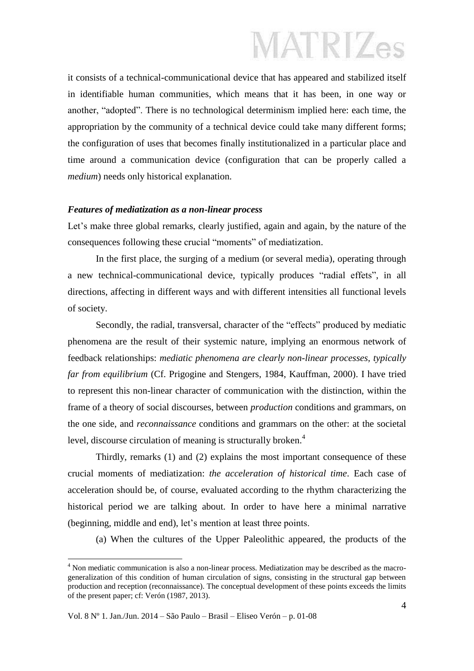it consists of a technical-communicational device that has appeared and stabilized itself in identifiable human communities, which means that it has been, in one way or another, "adopted". There is no technological determinism implied here: each time, the appropriation by the community of a technical device could take many different forms; the configuration of uses that becomes finally institutionalized in a particular place and time around a communication device (configuration that can be properly called a *medium*) needs only historical explanation.

#### *Features of mediatization as a non-linear process*

Let's make three global remarks, clearly justified, again and again, by the nature of the consequences following these crucial "moments" of mediatization.

In the first place, the surging of a medium (or several media), operating through a new technical-communicational device, typically produces "radial effets", in all directions, affecting in different ways and with different intensities all functional levels of society.

Secondly, the radial, transversal, character of the "effects" produced by mediatic phenomena are the result of their systemic nature, implying an enormous network of feedback relationships: *mediatic phenomena are clearly non-linear processes, typically far from equilibrium* (Cf. Prigogine and Stengers, 1984, Kauffman, 2000). I have tried to represent this non-linear character of communication with the distinction, within the frame of a theory of social discourses, between *production* conditions and grammars, on the one side, and *reconnaissance* conditions and grammars on the other: at the societal level, discourse circulation of meaning is structurally broken.<sup>4</sup>

Thirdly, remarks (1) and (2) explains the most important consequence of these crucial moments of mediatization: *the acceleration of historical time*. Each case of acceleration should be, of course, evaluated according to the rhythm characterizing the historical period we are talking about. In order to have here a minimal narrative (beginning, middle and end), let's mention at least three points.

(a) When the cultures of the Upper Paleolithic appeared, the products of the

1

<sup>4</sup> Non mediatic communication is also a non-linear process. Mediatization may be described as the macrogeneralization of this condition of human circulation of signs, consisting in the structural gap between production and reception (reconnaissance). The conceptual development of these points exceeds the limits of the present paper; cf: Verón (1987, 2013).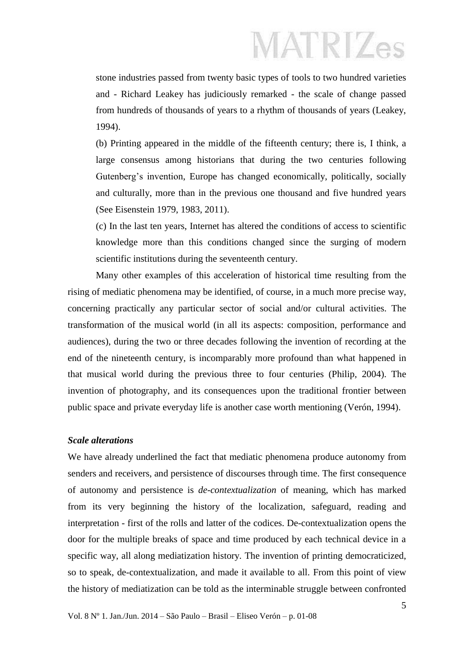stone industries passed from twenty basic types of tools to two hundred varieties and - Richard Leakey has judiciously remarked - the scale of change passed from hundreds of thousands of years to a rhythm of thousands of years (Leakey, 1994).

(b) Printing appeared in the middle of the fifteenth century; there is, I think, a large consensus among historians that during the two centuries following Gutenberg's invention, Europe has changed economically, politically, socially and culturally, more than in the previous one thousand and five hundred years (See Eisenstein 1979, 1983, 2011).

(c) In the last ten years, Internet has altered the conditions of access to scientific knowledge more than this conditions changed since the surging of modern scientific institutions during the seventeenth century.

Many other examples of this acceleration of historical time resulting from the rising of mediatic phenomena may be identified, of course, in a much more precise way, concerning practically any particular sector of social and/or cultural activities. The transformation of the musical world (in all its aspects: composition, performance and audiences), during the two or three decades following the invention of recording at the end of the nineteenth century, is incomparably more profound than what happened in that musical world during the previous three to four centuries (Philip, 2004). The invention of photography, and its consequences upon the traditional frontier between public space and private everyday life is another case worth mentioning (Verón, 1994).

#### *Scale alterations*

We have already underlined the fact that mediatic phenomena produce autonomy from senders and receivers, and persistence of discourses through time. The first consequence of autonomy and persistence is *de-contextualization* of meaning, which has marked from its very beginning the history of the localization, safeguard, reading and interpretation - first of the rolls and latter of the codices. De-contextualization opens the door for the multiple breaks of space and time produced by each technical device in a specific way, all along mediatization history. The invention of printing democraticized, so to speak, de-contextualization, and made it available to all. From this point of view the history of mediatization can be told as the interminable struggle between confronted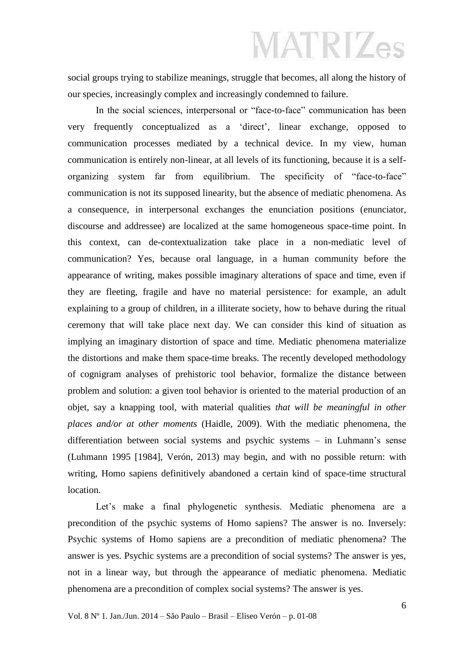social groups trying to stabilize meanings, struggle that becomes, all along the history of our species, increasingly complex and increasingly condemned to failure.

In the social sciences, interpersonal or "face-to-face" communication has been very frequently conceptualized as a 'direct', linear exchange, opposed to communication processes mediated by a technical device. In my view, human communication is entirely non-linear, at all levels of its functioning, because it is a selforganizing system far from equilibrium. The specificity of "face-to-face" communication is not its supposed linearity, but the absence of mediatic phenomena. As a consequence, in interpersonal exchanges the enunciation positions (enunciator, discourse and addressee) are localized at the same homogeneous space-time point. In this context, can de-contextualization take place in a non-mediatic level of communication? Yes, because oral language, in a human community before the appearance of writing, makes possible imaginary alterations of space and time, even if they are fleeting, fragile and have no material persistence: for example, an adult explaining to a group of children, in a illiterate society, how to behave during the ritual ceremony that will take place next day. We can consider this kind of situation as implying an imaginary distortion of space and time. Mediatic phenomena materialize the distortions and make them space-time breaks. The recently developed methodology of cognigram analyses of prehistoric tool behavior, formalize the distance between problem and solution: a given tool behavior is oriented to the material production of an objet, say a knapping tool, with material qualities *that will be meaningful in other places and/or at other moments* (Haidle, 2009). With the mediatic phenomena, the differentiation between social systems and psychic systems – in Luhmann's sense (Luhmann 1995 [1984], Verón, 2013) may begin, and with no possible return: with writing, Homo sapiens definitively abandoned a certain kind of space-time structural location.

Let's make a final phylogenetic synthesis. Mediatic phenomena are a precondition of the psychic systems of Homo sapiens? The answer is no. Inversely: Psychic systems of Homo sapiens are a precondition of mediatic phenomena? The answer is yes. Psychic systems are a precondition of social systems? The answer is yes, not in a linear way, but through the appearance of mediatic phenomena. Mediatic phenomena are a precondition of complex social systems? The answer is yes.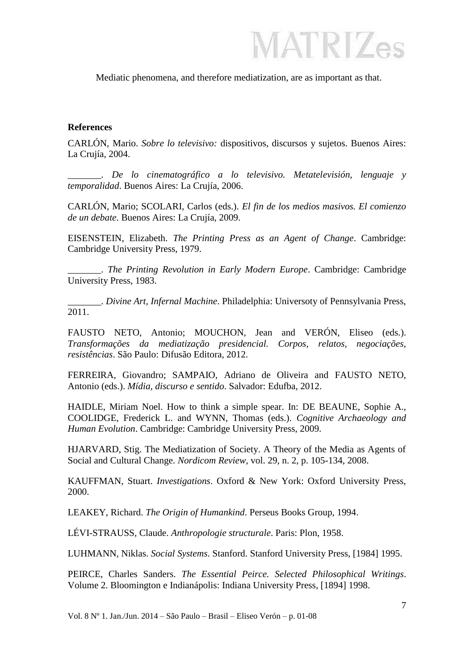**MATRIZes** 

Mediatic phenomena, and therefore mediatization, are as important as that.

#### **References**

CARLÓN, Mario. *Sobre lo televisivo:* dispositivos, discursos y sujetos. Buenos Aires: La Crujía, 2004.

\_\_\_\_\_\_\_. *De lo cinematográfico a lo televisivo. Metatelevisión, lenguaje y temporalidad*. Buenos Aires: La Crujía, 2006.

CARLÓN, Mario; SCOLARI, Carlos (eds.). *El fin de los medios masivos. El comienzo de un debate*. Buenos Aires: La Crujía, 2009.

EISENSTEIN, Elizabeth. *The Printing Press as an Agent of Change*. Cambridge: Cambridge University Press, 1979.

\_\_\_\_\_\_\_. *The Printing Revolution in Early Modern Europe*. Cambridge: Cambridge University Press, 1983.

\_\_\_\_\_\_\_. *Divine Art, Infernal Machine*. Philadelphia: Universoty of Pennsylvania Press, 2011.

FAUSTO NETO, Antonio; MOUCHON, Jean and VERÓN, Eliseo (eds*.*). *Transformações da mediatização presidencial. Corpos, relatos, negociações, resistências*. São Paulo: Difusão Editora, 2012.

FERREIRA, Giovandro; SAMPAIO, Adriano de Oliveira and FAUSTO NETO, Antonio (eds.). *Mídia, discurso e sentido*. Salvador: Edufba, 2012.

HAIDLE, Miriam Noel. How to think a simple spear. In: DE BEAUNE, Sophie A., COOLIDGE, Frederick L. and WYNN, Thomas (eds.). *Cognitive Archaeology and Human Evolution*. Cambridge: Cambridge University Press, 2009.

HJARVARD, Stig. The Mediatization of Society. A Theory of the Media as Agents of Social and Cultural Change. *Nordicom Review*, vol. 29, n. 2, p. 105-134, 2008.

KAUFFMAN, Stuart. *Investigations*. Oxford & New York: Oxford University Press, 2000.

LEAKEY, Richard. *The Origin of Humankind*. Perseus Books Group, 1994.

LÉVI-STRAUSS, Claude. *Anthropologie structurale*. Paris: Plon, 1958.

LUHMANN, Niklas. *Social Systems*. Stanford. Stanford University Press, [1984] 1995.

PEIRCE, Charles Sanders. *The Essential Peirce. Selected Philosophical Writings*. Volume 2. Bloomington e Indianápolis: Indiana University Press, [1894] 1998.